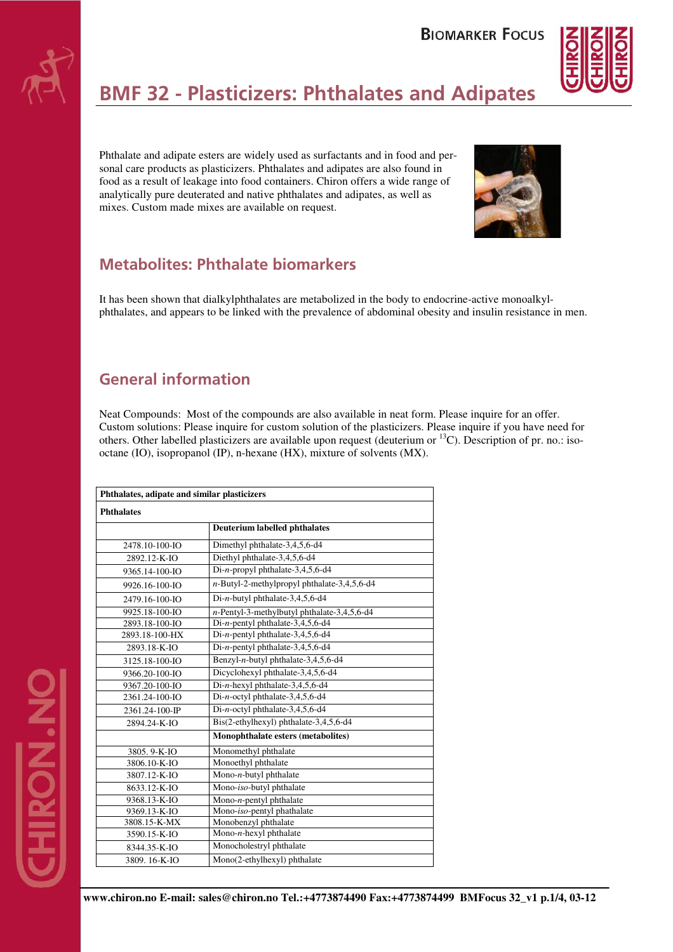



# **BMF 32 - Plasticizers: Phthalates and Adipates**

Phthalate and adipate esters are widely used as surfactants and in food and personal care products as plasticizers. Phthalates and adipates are also found in food as a result of leakage into food containers. Chiron offers a wide range of analytically pure deuterated and native phthalates and adipates, as well as mixes. Custom made mixes are available on request.



# **Metabolites: Phthalate biomarkers**

It has been shown that dialkylphthalates are metabolized in the body to endocrine-active monoalkylphthalates, and appears to be linked with the prevalence of abdominal obesity and insulin resistance in men.

# **General information**

Neat Compounds: Most of the compounds are also available in neat form. Please inquire for an offer. Custom solutions: Please inquire for custom solution of the plasticizers. Please inquire if you have need for others. Other labelled plasticizers are available upon request (deuterium or <sup>13</sup>C). Description of pr. no.: isooctane (IO), isopropanol (IP), n-hexane (HX), mixture of solvents (MX).

| Phthalates, adipate and similar plasticizers |                                                |  |
|----------------------------------------------|------------------------------------------------|--|
| <b>Phthalates</b>                            |                                                |  |
|                                              | <b>Deuterium labelled phthalates</b>           |  |
| 2478.10-100-IO                               | Dimethyl phthalate-3,4,5,6-d4                  |  |
| 2892.12-K-IO                                 | Diethyl phthalate-3,4,5,6-d4                   |  |
| 9365.14-100-JO                               | Di-n-propyl phthalate-3,4,5,6-d4               |  |
| 9926.16-100-IO                               | $n$ -Butyl-2-methylpropyl phthalate-3,4,5,6-d4 |  |
| 2479.16-100-IO                               | Di-n-butyl phthalate-3,4,5,6-d4                |  |
| 9925.18-100-IO                               | $n$ -Pentyl-3-methylbutyl phthalate-3,4,5,6-d4 |  |
| 2893.18-100-IO                               | Di-n-pentyl phthalate-3,4,5,6-d4               |  |
| 2893.18-100-HX                               | Di-n-pentyl phthalate-3,4,5,6-d4               |  |
| 2893.18-K-IO                                 | Di-n-pentyl phthalate-3,4,5,6-d4               |  |
| 3125.18-100-IO                               | Benzyl-n-butyl phthalate-3,4,5,6-d4            |  |
| 9366.20-100-IO                               | Dicyclohexyl phthalate-3,4,5,6-d4              |  |
| 9367.20-100-IO                               | Di-n-hexyl phthalate-3,4,5,6-d4                |  |
| 2361.24-100-IO                               | Di-n-octyl phthalate-3,4,5,6-d4                |  |
| 2361.24-100-JP                               | Di-n-octyl phthalate-3,4,5,6-d4                |  |
| 2894.24-K-IO                                 | Bis(2-ethylhexyl) phthalate-3,4,5,6-d4         |  |
|                                              | Monophthalate esters (metabolites)             |  |
| 3805.9-K-IO                                  | Monomethyl phthalate                           |  |
| 3806.10-K-IO                                 | Monoethyl phthalate                            |  |
| 3807.12-K-IO                                 | Mono-n-butyl phthalate                         |  |
| 8633.12-K-IO                                 | Mono-iso-butyl phthalate                       |  |
| 9368.13-K-IO                                 | Mono- $n$ -pentyl phthalate                    |  |
| 9369.13-K-IO                                 | Mono-iso-pentyl phathalate                     |  |
| 3808.15-K-MX                                 | Monobenzyl phthalate                           |  |
| 3590.15-K-IO                                 | Mono- $n$ -hexyl phthalate                     |  |
| 8344.35-K-IO                                 | Monocholestryl phthalate                       |  |
| 3809. 16-K-IO                                | Mono(2-ethylhexyl) phthalate                   |  |

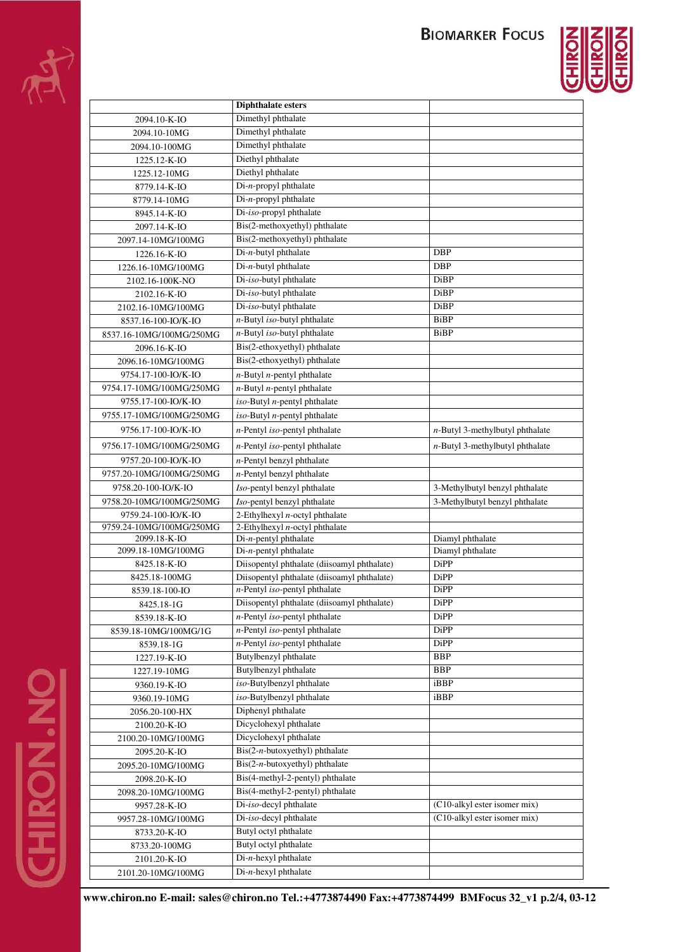

|                          | <b>Diphthalate esters</b>                       |                                    |
|--------------------------|-------------------------------------------------|------------------------------------|
| 2094.10-K-IO             | Dimethyl phthalate                              |                                    |
| 2094.10-10MG             | Dimethyl phthalate                              |                                    |
| 2094.10-100MG            | Dimethyl phthalate                              |                                    |
| 1225.12-K-IO             | Diethyl phthalate                               |                                    |
| 1225.12-10MG             | Diethyl phthalate                               |                                    |
| 8779.14-K-IO             | Di-n-propyl phthalate                           |                                    |
| 8779.14-10MG             | Di-n-propyl phthalate                           |                                    |
| 8945.14-K-IO             | Di-iso-propyl phthalate                         |                                    |
| 2097.14-K-IO             | Bis(2-methoxyethyl) phthalate                   |                                    |
| 2097.14-10MG/100MG       | Bis(2-methoxyethyl) phthalate                   |                                    |
|                          | Di-n-butyl phthalate                            | DBP                                |
| 1226.16-K-IO             | $Di-n$ -butyl phthalate                         | DBP                                |
| 1226.16-10MG/100MG       | Di-iso-butyl phthalate                          |                                    |
| 2102.16-100K-NO          |                                                 | DiBP                               |
| 2102.16-K-IO             | Di-iso-butyl phthalate                          | DiBP                               |
| 2102.16-10MG/100MG       | Di-iso-butyl phthalate                          | <b>DiBP</b>                        |
| 8537.16-100-IO/K-IO      | $n$ -Butyl iso-butyl phthalate                  | <b>BiBP</b>                        |
| 8537.16-10MG/100MG/250MG | $n$ -Butyl iso-butyl phthalate                  | BiBP                               |
| 2096.16-K-IO             | Bis(2-ethoxyethyl) phthalate                    |                                    |
| 2096.16-10MG/100MG       | Bis(2-ethoxyethyl) phthalate                    |                                    |
| 9754.17-100-IO/K-IO      | $n$ -Butyl $n$ -pentyl phthalate                |                                    |
| 9754.17-10MG/100MG/250MG | $n$ -Butyl $n$ -pentyl phthalate                |                                    |
| 9755.17-100-IO/K-IO      | iso-Butyl <i>n</i> -pentyl phthalate            |                                    |
| 9755.17-10MG/100MG/250MG | iso-Butyl <i>n</i> -pentyl phthalate            |                                    |
| 9756.17-100-IO/K-IO      | $n$ -Pentyl iso-pentyl phthalate                | $n$ -Butyl 3-methylbutyl phthalate |
| 9756.17-10MG/100MG/250MG | $n$ -Pentyl <i>iso</i> -pentyl phthalate        | $n$ -Butyl 3-methylbutyl phthalate |
| 9757.20-100-IO/K-IO      | $n$ -Pentyl benzyl phthalate                    |                                    |
| 9757.20-10MG/100MG/250MG | $n$ -Pentyl benzyl phthalate                    |                                    |
| 9758.20-100-IO/K-IO      | Iso-pentyl benzyl phthalate                     | 3-Methylbutyl benzyl phthalate     |
| 9758.20-10MG/100MG/250MG | Iso-pentyl benzyl phthalate                     | 3-Methylbutyl benzyl phthalate     |
| 9759.24-100-IO/K-IO      | 2-Ethylhexyl $n$ -octyl phthalate               |                                    |
| 9759.24-10MG/100MG/250MG | 2-Ethylhexyl $n$ -octyl phthalate               |                                    |
| 2099.18-K-IO             | $Di-n$ -pentyl phthalate                        | Diamyl phthalate                   |
| 2099.18-10MG/100MG       | $Di-n$ -pentyl phthalate                        | Diamyl phthalate                   |
| 8425.18-K-IO             | Diisopentyl phthalate (diisoamyl phthalate)     | DiPP                               |
| 8425.18-100MG            | Diisopentyl phthalate (diisoamyl phthalate)     | DiPP                               |
| 8539.18-100-IO           | n-Pentyl iso-pentyl phthalate                   | DiPP                               |
| 8425.18-1G               | Diisopentyl phthalate (diisoamyl phthalate)     | DiPP                               |
| 8539.18-K-IO             | n-Pentyl iso-pentyl phthalate                   | DiPP                               |
| 8539.18-10MG/100MG/1G    | n-Pentyl iso-pentyl phthalate                   | <b>DiPP</b>                        |
| 8539.18-1G               | n-Pentyl iso-pentyl phthalate                   | DiPP                               |
| 1227.19-K-IO             | Butylbenzyl phthalate                           | <b>BBP</b>                         |
| 1227.19-10MG             | Butylbenzyl phthalate                           | <b>BBP</b>                         |
| 9360.19-K-IO             | iso-Butylbenzyl phthalate                       | iBBP                               |
| 9360.19-10MG             | iso-Butylbenzyl phthalate                       | iBBP                               |
| 2056.20-100-HX           | Diphenyl phthalate                              |                                    |
| 2100.20-K-IO             | Dicyclohexyl phthalate                          |                                    |
| 2100.20-10MG/100MG       | Dicyclohexyl phthalate                          |                                    |
| 2095.20-K-IO             | $\text{Bis}(2-n\text{-butoxyethyl})$ phthalate  |                                    |
| 2095.20-10MG/100MG       | $\operatorname{Bis}(2-n-butoxyethyl)$ phthalate |                                    |
| 2098.20-K-IO             | Bis(4-methyl-2-pentyl) phthalate                |                                    |
| 2098.20-10MG/100MG       | Bis(4-methyl-2-pentyl) phthalate                |                                    |
| 9957.28-K-IO             | Di-iso-decyl phthalate                          | (C10-alkyl ester isomer mix)       |
| 9957.28-10MG/100MG       | Di-iso-decyl phthalate                          | (C10-alkyl ester isomer mix)       |
| 8733.20-K-IO             | Butyl octyl phthalate                           |                                    |
| 8733.20-100MG            | Butyl octyl phthalate                           |                                    |
| 2101.20-K-IO             | $Di-n$ -hexyl phthalate                         |                                    |
| 2101.20-10MG/100MG       | Di-n-hexyl phthalate                            |                                    |
|                          |                                                 |                                    |

**www.chiron.no E-mail: sales@chiron.no Tel.:+4773874490 Fax:+4773874499 BMFocus 32\_v1 p.2/4, 03-12**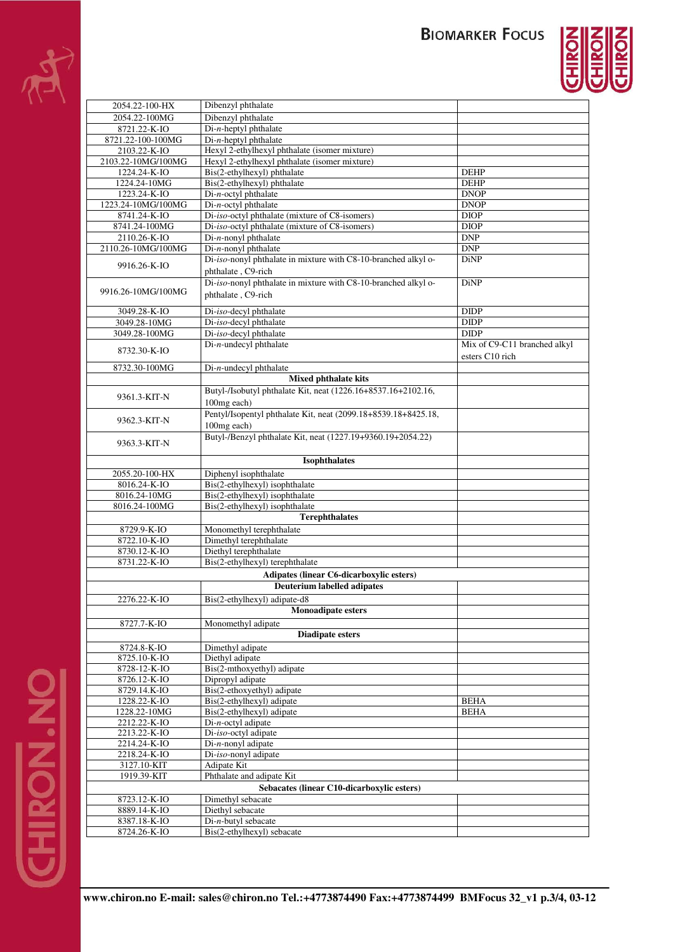# **BIOMARKER FOCUS**



| 2054.22-100-HX                             | Dibenzyl phthalate                                                     |                              |
|--------------------------------------------|------------------------------------------------------------------------|------------------------------|
| 2054.22-100MG                              | Dibenzyl phthalate                                                     |                              |
| 8721.22-K-IO                               | $Di-n$ -heptyl phthalate                                               |                              |
| 8721.22-100-100MG                          | $Di-n$ -heptyl phthalate                                               |                              |
| 2103.22-K-IO                               | Hexyl 2-ethylhexyl phthalate (isomer mixture)                          |                              |
| 2103.22-10MG/100MG                         | Hexyl 2-ethylhexyl phthalate (isomer mixture)                          |                              |
| 1224.24-K-IO                               | Bis(2-ethylhexyl) phthalate                                            | <b>DEHP</b>                  |
| 1224.24-10MG                               | Bis(2-ethylhexyl) phthalate                                            | <b>DEHP</b>                  |
| 1223.24-K-IO                               | Di-n-octyl phthalate                                                   | <b>DNOP</b>                  |
| 1223.24-10MG/100MG                         | Di-n-octyl phthalate<br>Di-iso-octyl phthalate (mixture of C8-isomers) | <b>DNOP</b>                  |
| 8741.24-K-IO<br>8741.24-100MG              | Di-iso-octyl phthalate (mixture of C8-isomers)                         | <b>DIOP</b><br><b>DIOP</b>   |
| 2110.26-K-IO                               | $Di-n$ -nonyl phthalate                                                | <b>DNP</b>                   |
| 2110.26-10MG/100MG                         | Di-n-nonyl phthalate                                                   | DNP                          |
|                                            | Di-iso-nonyl phthalate in mixture with C8-10-branched alkyl o-         | <b>DiNP</b>                  |
| 9916.26-K-IO                               | phthalate, C9-rich                                                     |                              |
|                                            | Di-iso-nonyl phthalate in mixture with C8-10-branched alkyl o-         | DiNP                         |
| 9916.26-10MG/100MG                         | phthalate, C9-rich                                                     |                              |
|                                            |                                                                        |                              |
| 3049.28-K-IO                               | Di-iso-decyl phthalate                                                 | <b>DIDP</b>                  |
| 3049.28-10MG                               | Di-iso-decyl phthalate                                                 | <b>DIDP</b>                  |
| 3049.28-100MG                              | Di-iso-decyl phthalate                                                 | <b>DIDP</b>                  |
| 8732.30-K-IO                               | $Di-n$ -undecyl phthalate                                              | Mix of C9-C11 branched alkyl |
|                                            |                                                                        | esters C10 rich              |
| 8732.30-100MG                              | $Di-n$ -undecyl phthalate                                              |                              |
|                                            | Mixed phthalate kits                                                   |                              |
| 9361.3-KIT-N                               | Butyl-/Isobutyl phthalate Kit, neat (1226.16+8537.16+2102.16,          |                              |
|                                            | 100mg each)                                                            |                              |
| 9362.3-KIT-N                               | Pentyl/Isopentyl phthalate Kit, neat (2099.18+8539.18+8425.18,         |                              |
|                                            | 100mg each)                                                            |                              |
|                                            | Butyl-/Benzyl phthalate Kit, neat (1227.19+9360.19+2054.22)            |                              |
| 9363.3-KIT-N                               |                                                                        |                              |
|                                            | <b>Isophthalates</b>                                                   |                              |
| 2055.20-100-HX                             | Diphenyl isophthalate                                                  |                              |
| 8016.24-K-IO                               | Bis(2-ethylhexyl) isophthalate                                         |                              |
| 8016.24-10MG                               | Bis(2-ethylhexyl) isophthalate                                         |                              |
| 8016.24-100MG                              | Bis(2-ethylhexyl) isophthalate                                         |                              |
|                                            | <b>Terephthalates</b>                                                  |                              |
| 8729.9-K-IO                                | Monomethyl terephthalate                                               |                              |
| 8722.10-K-IO                               | Dimethyl terephthalate                                                 |                              |
| 8730.12-K-IO                               | Diethyl terephthalate                                                  |                              |
| 8731.22-K-IO                               | Bis(2-ethylhexyl) terephthalate                                        |                              |
|                                            | <b>Adipates (linear C6-dicarboxylic esters)</b>                        |                              |
|                                            | <b>Deuterium labelled adipates</b>                                     |                              |
| 2276.22-K-IO                               | Bis(2-ethylhexyl) adipate-d8                                           |                              |
|                                            | <b>Monoadipate esters</b>                                              |                              |
| 8727.7-K-IO                                | Monomethyl adipate                                                     |                              |
|                                            | <b>Diadipate esters</b>                                                |                              |
| 8724.8-K-IO                                | Dimethyl adipate                                                       |                              |
| 8725.10-K-IO                               | Diethyl adipate                                                        |                              |
| 8728-12-K-IO                               | Bis(2-mthoxyethyl) adipate                                             |                              |
| 8726.12-K-IO                               | Dipropyl adipate                                                       |                              |
| 8729.14.K-IO                               | Bis(2-ethoxyethyl) adipate                                             |                              |
| 1228.22-K-IO                               | Bis(2-ethylhexyl) adipate                                              | <b>BEHA</b>                  |
| 1228.22-10MG                               | Bis(2-ethylhexyl) adipate                                              | <b>BEHA</b>                  |
| 2212.22-K-IO                               | $Di-n-octyl$ adipate                                                   |                              |
| 2213.22-K-IO                               | Di-iso-octyl adipate                                                   |                              |
| 2214.24-K-IO<br>2218.24-K-IO               | Di-n-nonyl adipate<br>Di-iso-nonyl adipate                             |                              |
| 3127.10-KIT                                | Adipate Kit                                                            |                              |
| 1919.39-KIT                                | Phthalate and adipate Kit                                              |                              |
| Sebacates (linear C10-dicarboxylic esters) |                                                                        |                              |
| 8723.12-K-IO                               | Dimethyl sebacate                                                      |                              |
| 8889.14-K-IO                               | Diethyl sebacate                                                       |                              |
| 8387.18-K-IO                               | $Di-n$ -butyl sebacate                                                 |                              |
| 8724.26-K-IO                               | Bis(2-ethylhexyl) sebacate                                             |                              |
|                                            |                                                                        |                              |

**www.chiron.no E-mail: sales@chiron.no Tel.:+4773874490 Fax:+4773874499 BMFocus 32\_v1 p.3/4, 03-12**